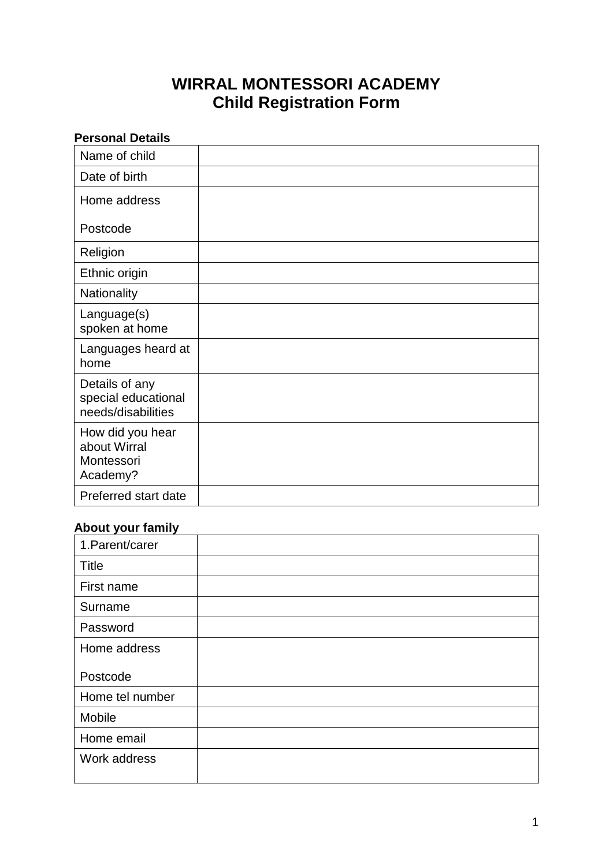# **WIRRAL MONTESSORI ACADEMY Child Registration Form**

| <b>Personal Details</b>                                     |  |
|-------------------------------------------------------------|--|
| Name of child                                               |  |
| Date of birth                                               |  |
| Home address                                                |  |
| Postcode                                                    |  |
| Religion                                                    |  |
| Ethnic origin                                               |  |
| Nationality                                                 |  |
| Language(s)<br>spoken at home                               |  |
| Languages heard at<br>home                                  |  |
| Details of any<br>special educational<br>needs/disabilities |  |
| How did you hear<br>about Wirral<br>Montessori<br>Academy?  |  |
| Preferred start date                                        |  |

## **About your family**

| 1. Parent/carer |  |
|-----------------|--|
| Title           |  |
| First name      |  |
| Surname         |  |
| Password        |  |
| Home address    |  |
| Postcode        |  |
| Home tel number |  |
| Mobile          |  |
| Home email      |  |
| Work address    |  |
|                 |  |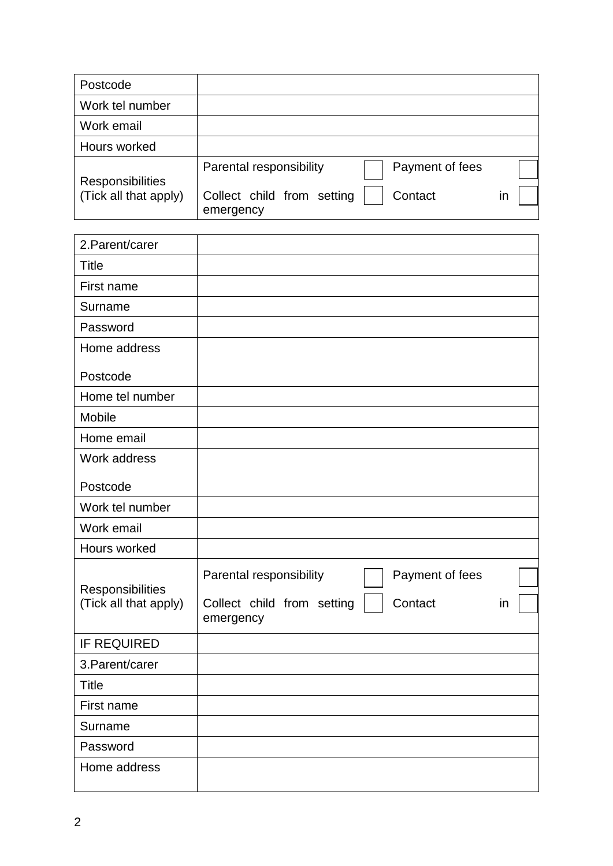| Postcode                                         |                                                    |  |
|--------------------------------------------------|----------------------------------------------------|--|
| Work tel number                                  |                                                    |  |
| Work email                                       |                                                    |  |
| Hours worked                                     |                                                    |  |
|                                                  | Parental responsibility<br>Payment of fees         |  |
| <b>Responsibilities</b><br>(Tick all that apply) | Collect child from setting<br>Contact<br>emergency |  |

| 2. Parent/carer                           |                                                                                                        |
|-------------------------------------------|--------------------------------------------------------------------------------------------------------|
| <b>Title</b>                              |                                                                                                        |
| First name                                |                                                                                                        |
| Surname                                   |                                                                                                        |
| Password                                  |                                                                                                        |
| Home address                              |                                                                                                        |
| Postcode                                  |                                                                                                        |
| Home tel number                           |                                                                                                        |
| Mobile                                    |                                                                                                        |
| Home email                                |                                                                                                        |
| Work address                              |                                                                                                        |
| Postcode                                  |                                                                                                        |
| Work tel number                           |                                                                                                        |
| Work email                                |                                                                                                        |
| Hours worked                              |                                                                                                        |
| Responsibilities<br>(Tick all that apply) | Payment of fees<br>Parental responsibility<br>Contact<br>Collect child from setting<br>in<br>emergency |
| <b>IF REQUIRED</b>                        |                                                                                                        |
| 3. Parent/carer                           |                                                                                                        |
| <b>Title</b>                              |                                                                                                        |
| First name                                |                                                                                                        |
| Surname                                   |                                                                                                        |
| Password                                  |                                                                                                        |
| Home address                              |                                                                                                        |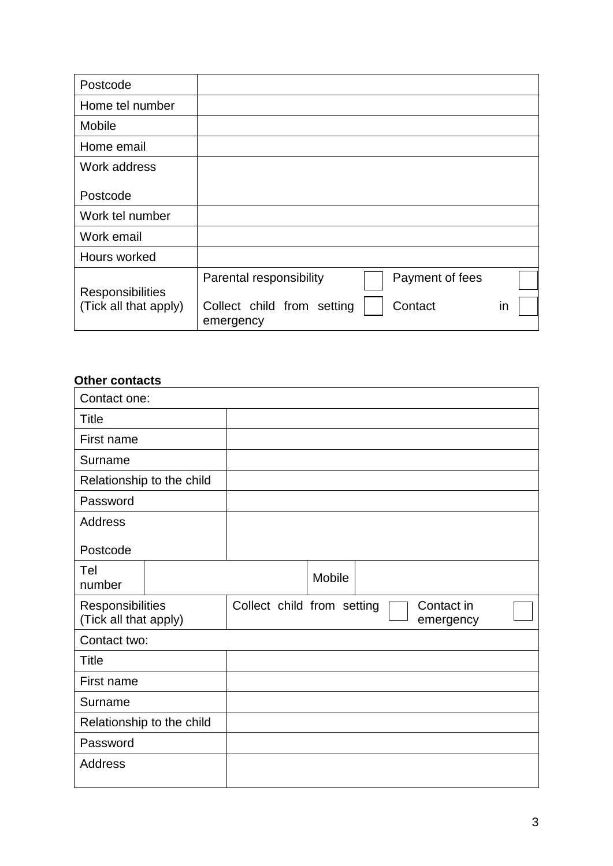| Postcode                |                                                    |    |
|-------------------------|----------------------------------------------------|----|
| Home tel number         |                                                    |    |
| Mobile                  |                                                    |    |
| Home email              |                                                    |    |
| Work address            |                                                    |    |
| Postcode                |                                                    |    |
| Work tel number         |                                                    |    |
| Work email              |                                                    |    |
| Hours worked            |                                                    |    |
| <b>Responsibilities</b> | Payment of fees<br>Parental responsibility         |    |
| (Tick all that apply)   | Collect child from setting<br>Contact<br>emergency | in |

### **Other contacts**

| Contact one:                              |                                                       |
|-------------------------------------------|-------------------------------------------------------|
| <b>Title</b>                              |                                                       |
| First name                                |                                                       |
| Surname                                   |                                                       |
| Relationship to the child                 |                                                       |
| Password                                  |                                                       |
| Address                                   |                                                       |
| Postcode                                  |                                                       |
| Tel<br>number                             | Mobile                                                |
| Responsibilities<br>(Tick all that apply) | Collect child from setting<br>Contact in<br>emergency |
| Contact two:                              |                                                       |
| <b>Title</b>                              |                                                       |
| First name                                |                                                       |
| Surname                                   |                                                       |
| Relationship to the child                 |                                                       |
| Password                                  |                                                       |
| <b>Address</b>                            |                                                       |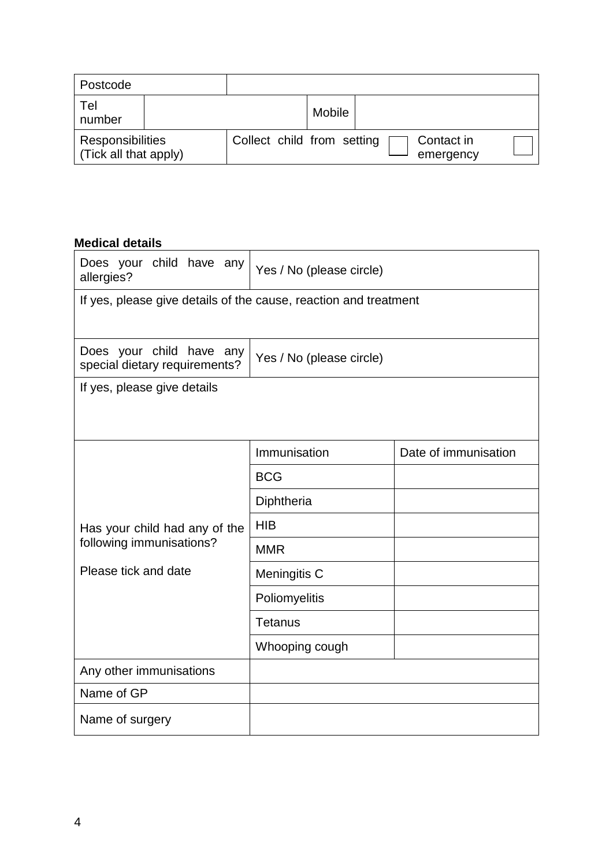| Postcode                                         |                            |        |                         |  |
|--------------------------------------------------|----------------------------|--------|-------------------------|--|
| Tel<br>number                                    |                            | Mobile |                         |  |
| <b>Responsibilities</b><br>(Tick all that apply) | Collect child from setting |        | Contact in<br>emergency |  |

### **Medical details**

| Does your child have any<br>Yes / No (please circle)<br>allergies? |                          |                      |  |  |  |
|--------------------------------------------------------------------|--------------------------|----------------------|--|--|--|
| If yes, please give details of the cause, reaction and treatment   |                          |                      |  |  |  |
| Does your child have any<br>special dietary requirements?          | Yes / No (please circle) |                      |  |  |  |
| If yes, please give details                                        |                          |                      |  |  |  |
|                                                                    |                          |                      |  |  |  |
|                                                                    | Immunisation             | Date of immunisation |  |  |  |
|                                                                    | <b>BCG</b>               |                      |  |  |  |
|                                                                    | Diphtheria               |                      |  |  |  |
| Has your child had any of the                                      | <b>HIB</b>               |                      |  |  |  |
| following immunisations?                                           | <b>MMR</b>               |                      |  |  |  |
| Please tick and date                                               | Meningitis C             |                      |  |  |  |
|                                                                    | Poliomyelitis            |                      |  |  |  |
|                                                                    | <b>Tetanus</b>           |                      |  |  |  |
|                                                                    | Whooping cough           |                      |  |  |  |
| Any other immunisations                                            |                          |                      |  |  |  |
| Name of GP                                                         |                          |                      |  |  |  |
| Name of surgery                                                    |                          |                      |  |  |  |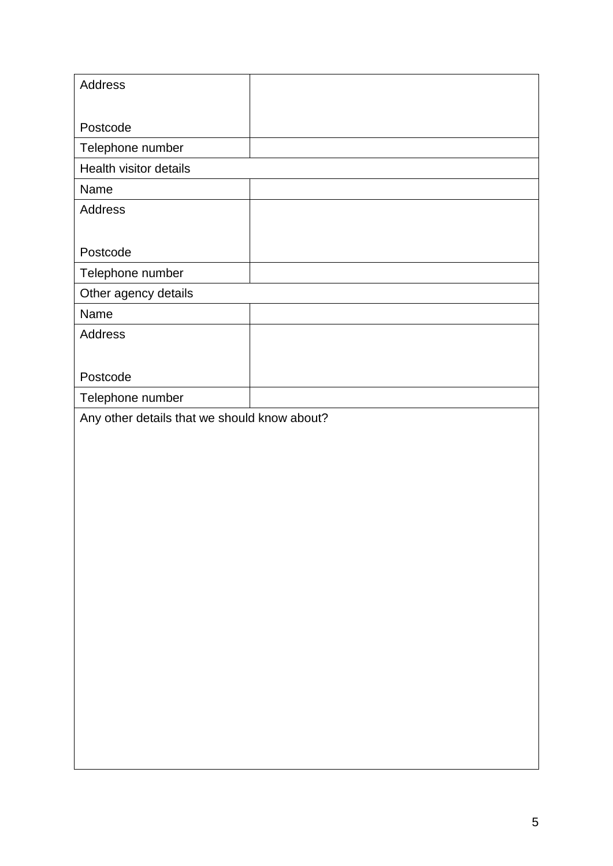| Address                                      |  |
|----------------------------------------------|--|
|                                              |  |
| Postcode                                     |  |
| Telephone number                             |  |
| Health visitor details                       |  |
| Name                                         |  |
|                                              |  |
| Address                                      |  |
|                                              |  |
| Postcode                                     |  |
| Telephone number                             |  |
| Other agency details                         |  |
| Name                                         |  |
| Address                                      |  |
|                                              |  |
| Postcode                                     |  |
| Telephone number                             |  |
| Any other details that we should know about? |  |
|                                              |  |
|                                              |  |
|                                              |  |
|                                              |  |
|                                              |  |
|                                              |  |
|                                              |  |
|                                              |  |
|                                              |  |
|                                              |  |
|                                              |  |
|                                              |  |
|                                              |  |
|                                              |  |
|                                              |  |
|                                              |  |
|                                              |  |
|                                              |  |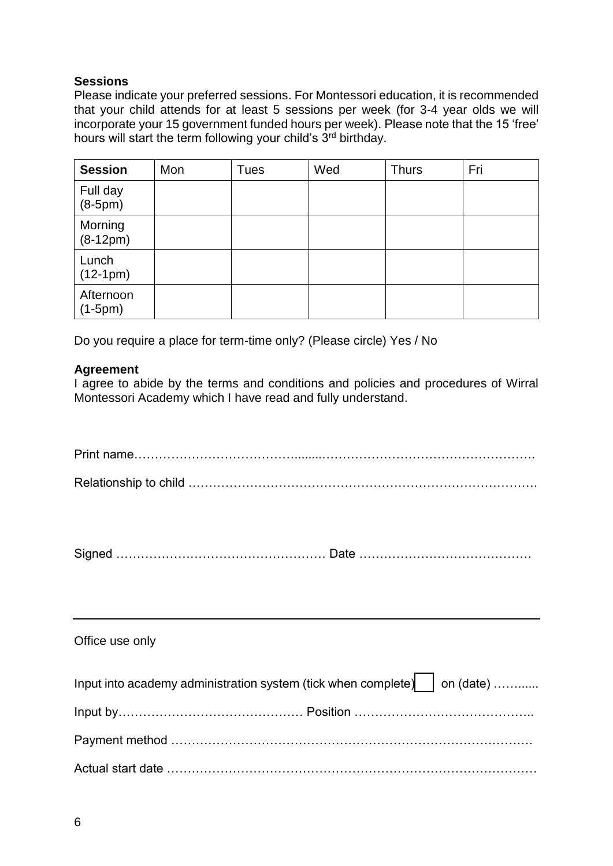#### **Sessions**

Please indicate your preferred sessions. For Montessori education, it is recommended that your child attends for at least 5 sessions per week (for 3-4 year olds we will incorporate your 15 government funded hours per week). Please note that the 15 'free' hours will start the term following your child's 3rd birthday.

| <b>Session</b>         | Mon | <b>Tues</b> | Wed | <b>Thurs</b> | Fri |
|------------------------|-----|-------------|-----|--------------|-----|
| Full day<br>$(8-5pm)$  |     |             |     |              |     |
| Morning<br>$(8-12pm)$  |     |             |     |              |     |
| Lunch<br>$(12-1pm)$    |     |             |     |              |     |
| Afternoon<br>$(1-5pm)$ |     |             |     |              |     |

Do you require a place for term-time only? (Please circle) Yes / No

#### **Agreement**

I agree to abide by the terms and conditions and policies and procedures of Wirral Montessori Academy which I have read and fully understand.

|--|--|

| Office use only |  |  |
|-----------------|--|--|
|-----------------|--|--|

| Input into academy administration system (tick when complete) $\vert$ on (date) |  |
|---------------------------------------------------------------------------------|--|
|                                                                                 |  |
|                                                                                 |  |
|                                                                                 |  |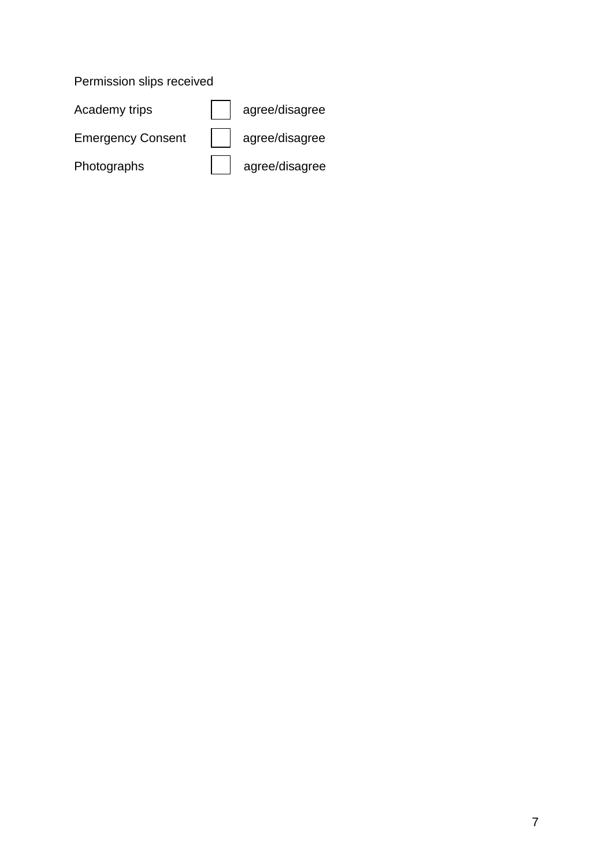## Permission slips received

| Academy trips            | agree/disagree         |
|--------------------------|------------------------|
| <b>Emergency Consent</b> | agree/disagree         |
| Photographs              | $\vert$ agree/disagree |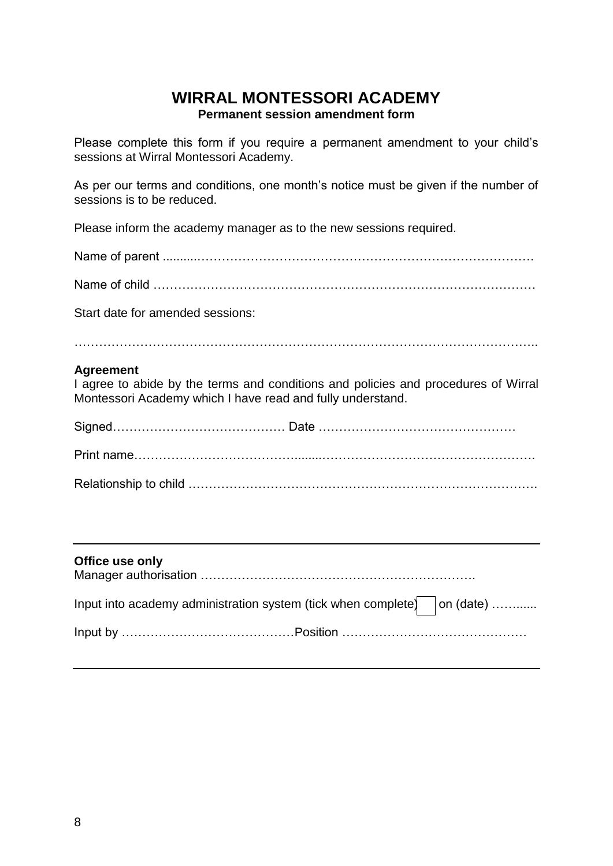## **WIRRAL MONTESSORI ACADEMY Permanent session amendment form**

Please complete this form if you require a permanent amendment to your child's sessions at Wirral Montessori Academy.

As per our terms and conditions, one month's notice must be given if the number of sessions is to be reduced.

Please inform the academy manager as to the new sessions required.

Name of parent ..........……………………………………………………………………….

Name of child …………………………………………………………………………………

Start date for amended sessions:

…………………………………………………………………………………………………..

#### **Agreement**

I agree to abide by the terms and conditions and policies and procedures of Wirral Montessori Academy which I have read and fully understand.

| Office use only                                                                 |  |
|---------------------------------------------------------------------------------|--|
| Input into academy administration system (tick when complete) $\vert$ on (date) |  |
|                                                                                 |  |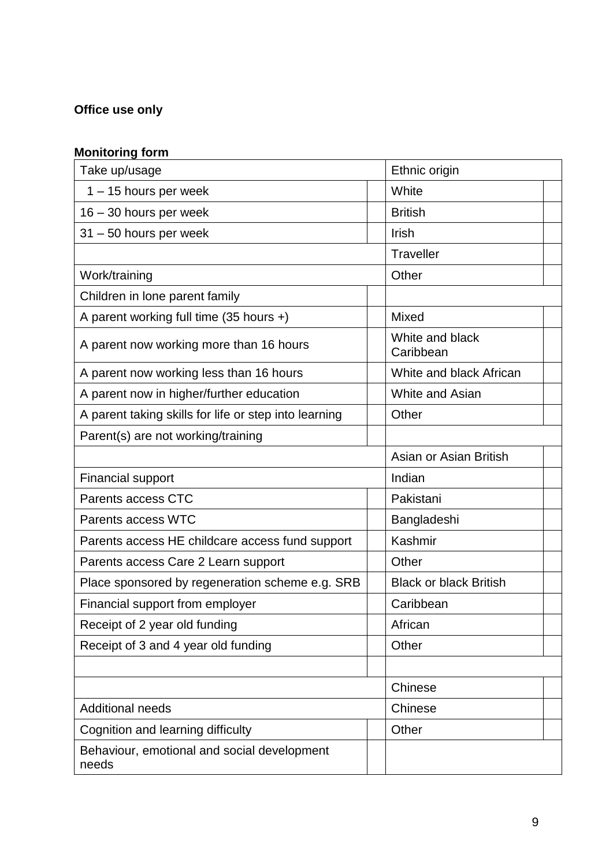## **Office use only**

### **Monitoring form**

| Take up/usage                                         | Ethnic origin                 |  |
|-------------------------------------------------------|-------------------------------|--|
| $1 - 15$ hours per week                               | White                         |  |
| $16 - 30$ hours per week                              | <b>British</b>                |  |
| $31 - 50$ hours per week                              | Irish                         |  |
|                                                       | <b>Traveller</b>              |  |
| Work/training                                         | Other                         |  |
| Children in lone parent family                        |                               |  |
| A parent working full time $(35$ hours +)             | Mixed                         |  |
| A parent now working more than 16 hours               | White and black<br>Caribbean  |  |
| A parent now working less than 16 hours               | White and black African       |  |
| A parent now in higher/further education              | White and Asian               |  |
| A parent taking skills for life or step into learning | Other                         |  |
| Parent(s) are not working/training                    |                               |  |
|                                                       | Asian or Asian British        |  |
| <b>Financial support</b>                              | Indian                        |  |
| Parents access CTC                                    | Pakistani                     |  |
| Parents access WTC                                    | Bangladeshi                   |  |
| Parents access HE childcare access fund support       | Kashmir                       |  |
| Parents access Care 2 Learn support                   | Other                         |  |
| Place sponsored by regeneration scheme e.g. SRB       | <b>Black or black British</b> |  |
| Financial support from employer                       | Caribbean                     |  |
| Receipt of 2 year old funding                         | African                       |  |
| Receipt of 3 and 4 year old funding                   | Other                         |  |
|                                                       |                               |  |
|                                                       | Chinese                       |  |
| <b>Additional needs</b>                               | Chinese                       |  |
| Cognition and learning difficulty                     | Other                         |  |
| Behaviour, emotional and social development<br>needs  |                               |  |